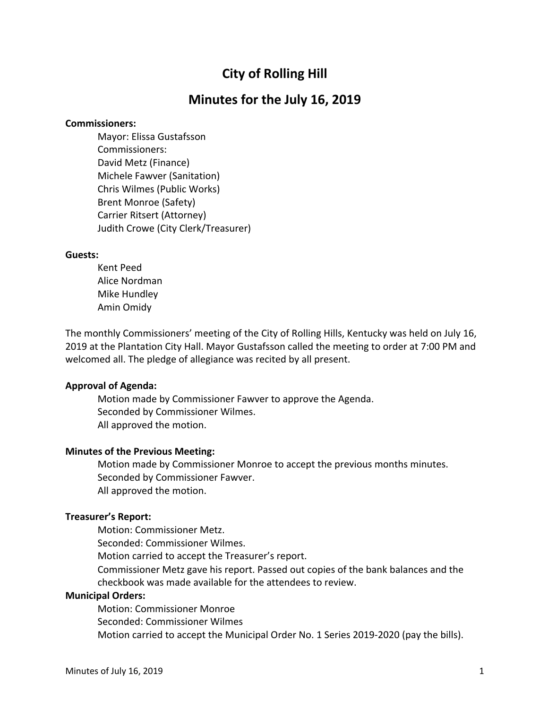# **City of Rolling Hill**

## **Minutes for the July 16, 2019**

#### **Commissioners:**

Mayor: Elissa Gustafsson Commissioners: David Metz (Finance) Michele Fawver (Sanitation) Chris Wilmes (Public Works) Brent Monroe (Safety) Carrier Ritsert (Attorney) Judith Crowe (City Clerk/Treasurer)

#### **Guests:**

Kent Peed Alice Nordman Mike Hundley Amin Omidy

The monthly Commissioners' meeting of the City of Rolling Hills, Kentucky was held on July 16, 2019 at the Plantation City Hall. Mayor Gustafsson called the meeting to order at 7:00 PM and welcomed all. The pledge of allegiance was recited by all present.

## **Approval of Agenda:**

Motion made by Commissioner Fawver to approve the Agenda. Seconded by Commissioner Wilmes. All approved the motion.

#### **Minutes of the Previous Meeting:**

Motion made by Commissioner Monroe to accept the previous months minutes. Seconded by Commissioner Fawver. All approved the motion.

#### **Treasurer's Report:**

Motion: Commissioner Metz. Seconded: Commissioner Wilmes. Motion carried to accept the Treasurer's report. Commissioner Metz gave his report. Passed out copies of the bank balances and the checkbook was made available for the attendees to review. **Municipal Orders:**

Motion: Commissioner Monroe Seconded: Commissioner Wilmes Motion carried to accept the Municipal Order No. 1 Series 2019-2020 (pay the bills).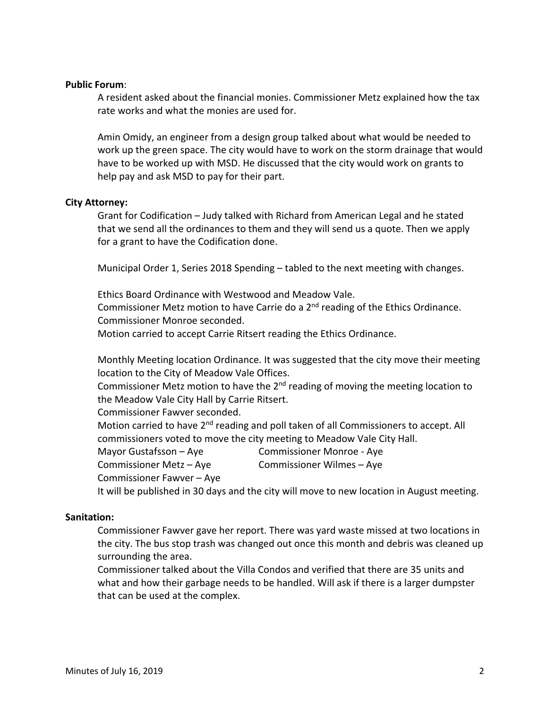## **Public Forum**:

A resident asked about the financial monies. Commissioner Metz explained how the tax rate works and what the monies are used for.

Amin Omidy, an engineer from a design group talked about what would be needed to work up the green space. The city would have to work on the storm drainage that would have to be worked up with MSD. He discussed that the city would work on grants to help pay and ask MSD to pay for their part.

#### **City Attorney:**

Grant for Codification – Judy talked with Richard from American Legal and he stated that we send all the ordinances to them and they will send us a quote. Then we apply for a grant to have the Codification done.

Municipal Order 1, Series 2018 Spending – tabled to the next meeting with changes.

Ethics Board Ordinance with Westwood and Meadow Vale. Commissioner Metz motion to have Carrie do a  $2<sup>nd</sup>$  reading of the Ethics Ordinance. Commissioner Monroe seconded. Motion carried to accept Carrie Ritsert reading the Ethics Ordinance.

Monthly Meeting location Ordinance. It was suggested that the city move their meeting location to the City of Meadow Vale Offices.

Commissioner Metz motion to have the  $2<sup>nd</sup>$  reading of moving the meeting location to the Meadow Vale City Hall by Carrie Ritsert.

Commissioner Fawver seconded.

Motion carried to have  $2^{nd}$  reading and poll taken of all Commissioners to accept. All commissioners voted to move the city meeting to Meadow Vale City Hall.

Mayor Gustafsson – Aye Commissioner Monroe - Aye

Commissioner Metz – Aye Commissioner Wilmes – Aye

Commissioner Fawver – Aye

It will be published in 30 days and the city will move to new location in August meeting.

#### **Sanitation:**

Commissioner Fawver gave her report. There was yard waste missed at two locations in the city. The bus stop trash was changed out once this month and debris was cleaned up surrounding the area.

Commissioner talked about the Villa Condos and verified that there are 35 units and what and how their garbage needs to be handled. Will ask if there is a larger dumpster that can be used at the complex.